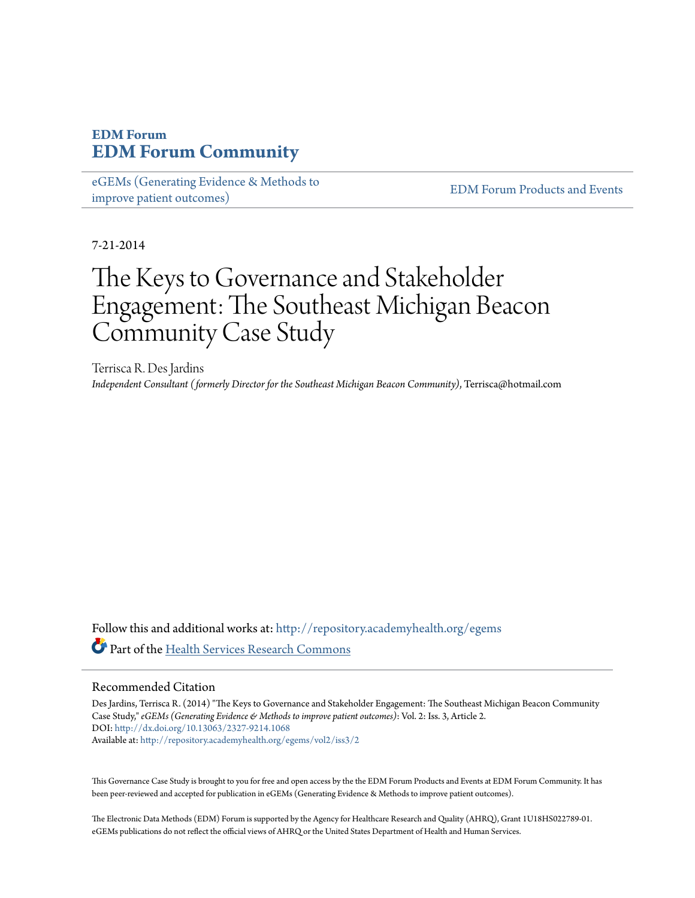# **EDM Forum [EDM Forum Community](http://repository.academyhealth.org?utm_source=repository.academyhealth.org%2Fegems%2Fvol2%2Fiss3%2F2&utm_medium=PDF&utm_campaign=PDFCoverPages)**

[eGEMs \(Generating Evidence & Methods to](http://repository.academyhealth.org/egems?utm_source=repository.academyhealth.org%2Fegems%2Fvol2%2Fiss3%2F2&utm_medium=PDF&utm_campaign=PDFCoverPages) [improve patient outcomes\)](http://repository.academyhealth.org/egems?utm_source=repository.academyhealth.org%2Fegems%2Fvol2%2Fiss3%2F2&utm_medium=PDF&utm_campaign=PDFCoverPages)

[EDM Forum Products and Events](http://repository.academyhealth.org/edm_publications?utm_source=repository.academyhealth.org%2Fegems%2Fvol2%2Fiss3%2F2&utm_medium=PDF&utm_campaign=PDFCoverPages)

7-21-2014

# The Keys to Governance and Stakeholder Engagement: The Southeast Michigan Beacon Community Case Study

Terrisca R. Des Jardins *Independent Consultant (formerly Director for the Southeast Michigan Beacon Community)*, Terrisca@hotmail.com

Follow this and additional works at: [http://repository.academyhealth.org/egems](http://repository.academyhealth.org/egems?utm_source=repository.academyhealth.org%2Fegems%2Fvol2%2Fiss3%2F2&utm_medium=PDF&utm_campaign=PDFCoverPages) **Part of the [Health Services Research Commons](http://network.bepress.com/hgg/discipline/816?utm_source=repository.academyhealth.org%2Fegems%2Fvol2%2Fiss3%2F2&utm_medium=PDF&utm_campaign=PDFCoverPages)** 

#### Recommended Citation

Des Jardins, Terrisca R. (2014) "The Keys to Governance and Stakeholder Engagement: The Southeast Michigan Beacon Community Case Study," *eGEMs (Generating Evidence & Methods to improve patient outcomes)*: Vol. 2: Iss. 3, Article 2. DOI: <http://dx.doi.org/10.13063/2327-9214.1068> Available at: [http://repository.academyhealth.org/egems/vol2/iss3/2](http://repository.academyhealth.org/egems/vol2/iss3/2?utm_source=repository.academyhealth.org%2Fegems%2Fvol2%2Fiss3%2F2&utm_medium=PDF&utm_campaign=PDFCoverPages)

This Governance Case Study is brought to you for free and open access by the the EDM Forum Products and Events at EDM Forum Community. It has been peer-reviewed and accepted for publication in eGEMs (Generating Evidence & Methods to improve patient outcomes).

The Electronic Data Methods (EDM) Forum is supported by the Agency for Healthcare Research and Quality (AHRQ), Grant 1U18HS022789-01. eGEMs publications do not reflect the official views of AHRQ or the United States Department of Health and Human Services.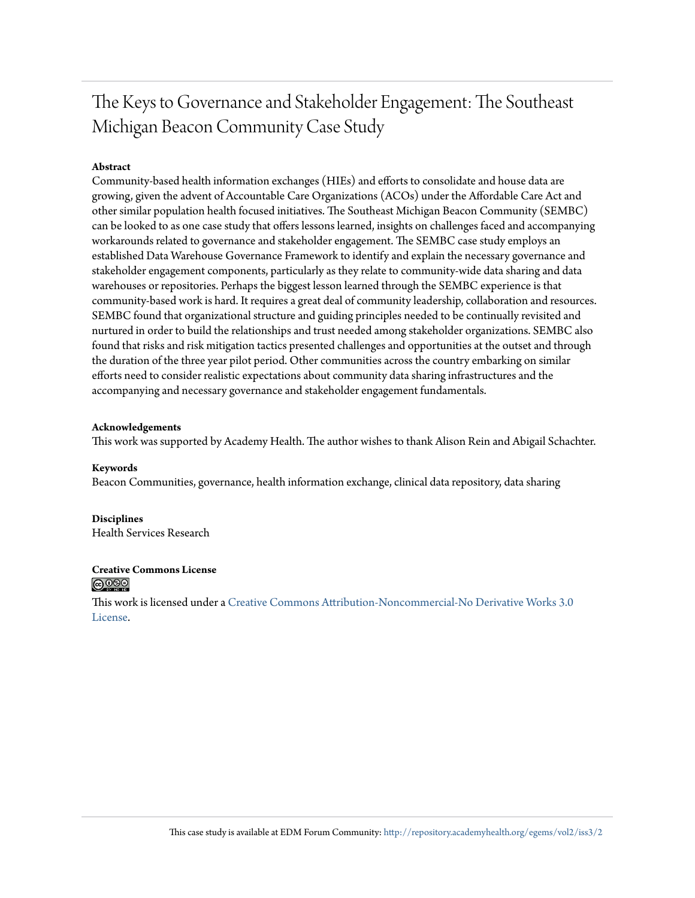# The Keys to Governance and Stakeholder Engagement: The Southeast Michigan Beacon Community Case Study

#### **Abstract**

Community-based health information exchanges (HIEs) and efforts to consolidate and house data are growing, given the advent of Accountable Care Organizations (ACOs) under the Affordable Care Act and other similar population health focused initiatives. The Southeast Michigan Beacon Community (SEMBC) can be looked to as one case study that offers lessons learned, insights on challenges faced and accompanying workarounds related to governance and stakeholder engagement. The SEMBC case study employs an established Data Warehouse Governance Framework to identify and explain the necessary governance and stakeholder engagement components, particularly as they relate to community-wide data sharing and data warehouses or repositories. Perhaps the biggest lesson learned through the SEMBC experience is that community-based work is hard. It requires a great deal of community leadership, collaboration and resources. SEMBC found that organizational structure and guiding principles needed to be continually revisited and nurtured in order to build the relationships and trust needed among stakeholder organizations. SEMBC also found that risks and risk mitigation tactics presented challenges and opportunities at the outset and through the duration of the three year pilot period. Other communities across the country embarking on similar efforts need to consider realistic expectations about community data sharing infrastructures and the accompanying and necessary governance and stakeholder engagement fundamentals.

#### **Acknowledgements**

This work was supported by Academy Health. The author wishes to thank Alison Rein and Abigail Schachter.

#### **Keywords**

Beacon Communities, governance, health information exchange, clinical data repository, data sharing

**Disciplines** Health Services Research

#### **Creative Commons License** <u>@ 000</u>

This work is licensed under a [Creative Commons Attribution-Noncommercial-No Derivative Works 3.0](http://creativecommons.org/licenses/by-nc-nd/3.0/) [License.](http://creativecommons.org/licenses/by-nc-nd/3.0/)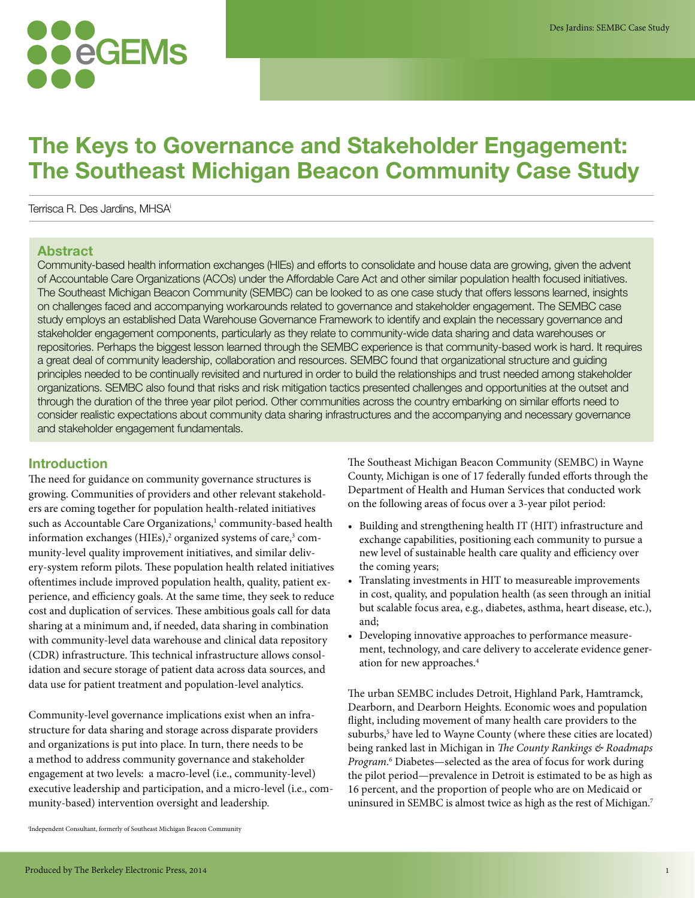# **eGEMs**

# **The Keys to Governance and Stakeholder Engagement: The Southeast Michigan Beacon Community Case Study**

Terrisca R. Des Jardins, MHSAi

# **Abstract**

Community-based health information exchanges (HIEs) and efforts to consolidate and house data are growing, given the advent of Accountable Care Organizations (ACOs) under the Affordable Care Act and other similar population health focused initiatives. The Southeast Michigan Beacon Community (SEMBC) can be looked to as one case study that offers lessons learned, insights on challenges faced and accompanying workarounds related to governance and stakeholder engagement. The SEMBC case study employs an established Data Warehouse Governance Framework to identify and explain the necessary governance and stakeholder engagement components, particularly as they relate to community-wide data sharing and data warehouses or repositories. Perhaps the biggest lesson learned through the SEMBC experience is that community-based work is hard. It requires a great deal of community leadership, collaboration and resources. SEMBC found that organizational structure and guiding principles needed to be continually revisited and nurtured in order to build the relationships and trust needed among stakeholder organizations. SEMBC also found that risks and risk mitigation tactics presented challenges and opportunities at the outset and through the duration of the three year pilot period. Other communities across the country embarking on similar efforts need to consider realistic expectations about community data sharing infrastructures and the accompanying and necessary governance and stakeholder engagement fundamentals.

# **Introduction**

The need for guidance on community governance structures is growing. Communities of providers and other relevant stakeholders are coming together for population health-related initiatives such as Accountable Care Organizations,<sup>1</sup> community-based health information exchanges (HIEs),<sup>2</sup> organized systems of care,<sup>3</sup> community-level quality improvement initiatives, and similar delivery-system reform pilots. These population health related initiatives oftentimes include improved population health, quality, patient experience, and efficiency goals. At the same time, they seek to reduce cost and duplication of services. These ambitious goals call for data sharing at a minimum and, if needed, data sharing in combination with community-level data warehouse and clinical data repository (CDR) infrastructure. This technical infrastructure allows consolidation and secure storage of patient data across data sources, and data use for patient treatment and population-level analytics.

Community-level governance implications exist when an infrastructure for data sharing and storage across disparate providers and organizations is put into place. In turn, there needs to be a method to address community governance and stakeholder engagement at two levels: a macro-level (i.e., community-level) executive leadership and participation, and a micro-level (i.e., community-based) intervention oversight and leadership.

The Southeast Michigan Beacon Community (SEMBC) in Wayne County, Michigan is one of 17 federally funded efforts through the Department of Health and Human Services that conducted work on the following areas of focus over a 3-year pilot period:

- Building and strengthening health IT (HIT) infrastructure and exchange capabilities, positioning each community to pursue a new level of sustainable health care quality and efficiency over the coming years;
- Translating investments in HIT to measureable improvements in cost, quality, and population health (as seen through an initial but scalable focus area, e.g., diabetes, asthma, heart disease, etc.), and;
- Developing innovative approaches to performance measurement, technology, and care delivery to accelerate evidence generation for new approaches.4

The urban SEMBC includes Detroit, Highland Park, Hamtramck, Dearborn, and Dearborn Heights. Economic woes and population flight, including movement of many health care providers to the suburbs,<sup>5</sup> have led to Wayne County (where these cities are located) being ranked last in Michigan in The County Rankings & Roadmaps Program.<sup>6</sup> Diabetes—selected as the area of focus for work during the pilot period—prevalence in Detroit is estimated to be as high as 16 percent, and the proportion of people who are on Medicaid or uninsured in SEMBC is almost twice as high as the rest of Michigan.<sup>7</sup>

i Independent Consultant, formerly of Southeast Michigan Beacon Community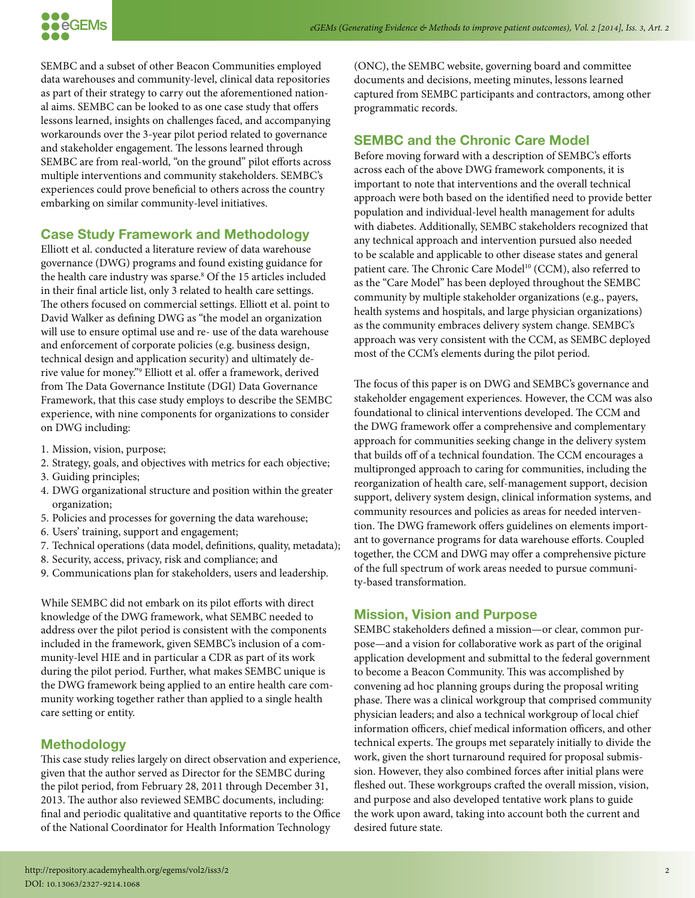

SEMBC and a subset of other Beacon Communities employed data warehouses and community-level, clinical data repositories as part of their strategy to carry out the aforementioned national aims. SEMBC can be looked to as one case study that offers lessons learned, insights on challenges faced, and accompanying workarounds over the 3-year pilot period related to governance and stakeholder engagement. The lessons learned through SEMBC are from real-world, "on the ground" pilot efforts across multiple interventions and community stakeholders. SEMBC's experiences could prove beneficial to others across the country embarking on similar community-level initiatives.

#### **Case Study Framework and Methodology**

Elliott et al. conducted a literature review of data warehouse governance (DWG) programs and found existing guidance for the health care industry was sparse.<sup>8</sup> Of the 15 articles included in their final article list, only 3 related to health care settings. The others focused on commercial settings. Elliott et al. point to David Walker as defining DWG as "the model an organization will use to ensure optimal use and re- use of the data warehouse and enforcement of corporate policies (e.g. business design, technical design and application security) and ultimately derive value for money."9 Elliott et al. offer a framework, derived from The Data Governance Institute (DGI) Data Governance Framework, that this case study employs to describe the SEMBC experience, with nine components for organizations to consider on DWG including:

- 1. Mission, vision, purpose;
- 2. Strategy, goals, and objectives with metrics for each objective;
- 3. Guiding principles;
- 4. DWG organizational structure and position within the greater organization;
- 5. Policies and processes for governing the data warehouse;
- 6. Users' training, support and engagement;
- 7. Technical operations (data model, definitions, quality, metadata);
- 8. Security, access, privacy, risk and compliance; and
- 9. Communications plan for stakeholders, users and leadership.

While SEMBC did not embark on its pilot efforts with direct knowledge of the DWG framework, what SEMBC needed to address over the pilot period is consistent with the components included in the framework, given SEMBC's inclusion of a community-level HIE and in particular a CDR as part of its work during the pilot period. Further, what makes SEMBC unique is the DWG framework being applied to an entire health care community working together rather than applied to a single health care setting or entity.

#### **Methodology**

This case study relies largely on direct observation and experience, given that the author served as Director for the SEMBC during the pilot period, from February 28, 2011 through December 31, 2013. The author also reviewed SEMBC documents, including: final and periodic qualitative and quantitative reports to the Office of the National Coordinator for Health Information Technology

(ONC), the SEMBC website, governing board and committee documents and decisions, meeting minutes, lessons learned captured from SEMBC participants and contractors, among other programmatic records.

#### **SEMBC and the Chronic Care Model**

Before moving forward with a description of SEMBC's efforts across each of the above DWG framework components, it is important to note that interventions and the overall technical approach were both based on the identified need to provide better population and individual-level health management for adults with diabetes. Additionally, SEMBC stakeholders recognized that any technical approach and intervention pursued also needed to be scalable and applicable to other disease states and general patient care. The Chronic Care Model<sup>10</sup> (CCM), also referred to as the "Care Model" has been deployed throughout the SEMBC community by multiple stakeholder organizations (e.g., payers, health systems and hospitals, and large physician organizations) as the community embraces delivery system change. SEMBC's approach was very consistent with the CCM, as SEMBC deployed most of the CCM's elements during the pilot period.

The focus of this paper is on DWG and SEMBC's governance and stakeholder engagement experiences. However, the CCM was also foundational to clinical interventions developed. The CCM and the DWG framework offer a comprehensive and complementary approach for communities seeking change in the delivery system that builds off of a technical foundation. The CCM encourages a multipronged approach to caring for communities, including the reorganization of health care, self-management support, decision support, delivery system design, clinical information systems, and community resources and policies as areas for needed intervention. The DWG framework offers guidelines on elements important to governance programs for data warehouse efforts. Coupled together, the CCM and DWG may offer a comprehensive picture of the full spectrum of work areas needed to pursue community-based transformation.

#### **Mission, Vision and Purpose**

SEMBC stakeholders defined a mission—or clear, common purpose—and a vision for collaborative work as part of the original application development and submittal to the federal government to become a Beacon Community. This was accomplished by convening ad hoc planning groups during the proposal writing phase. There was a clinical workgroup that comprised community physician leaders; and also a technical workgroup of local chief information officers, chief medical information officers, and other technical experts. The groups met separately initially to divide the work, given the short turnaround required for proposal submission. However, they also combined forces after initial plans were fleshed out. These workgroups crafted the overall mission, vision, and purpose and also developed tentative work plans to guide the work upon award, taking into account both the current and desired future state.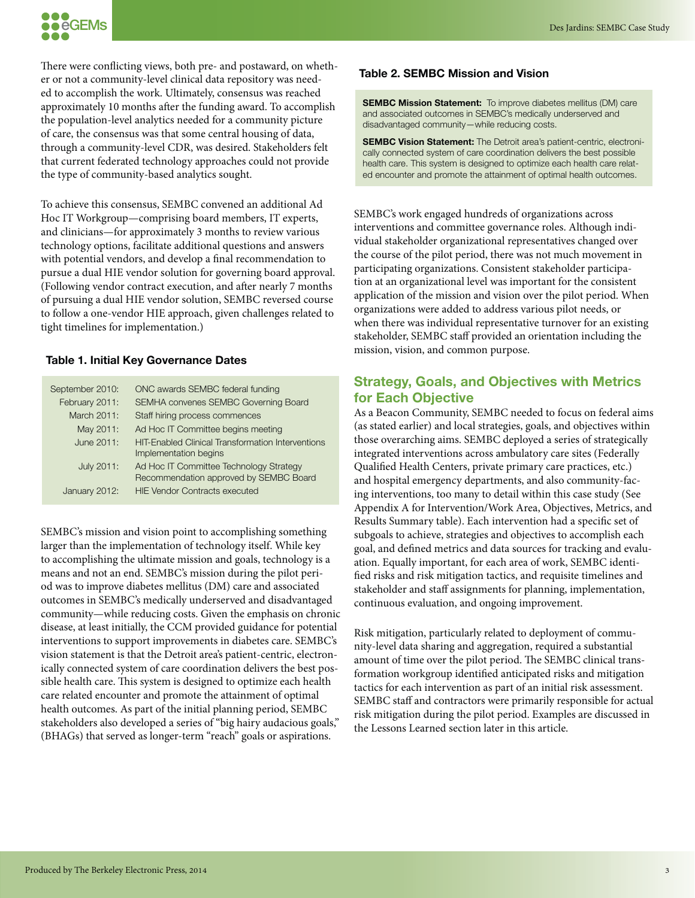

There were conflicting views, both pre- and postaward, on whether or not a community-level clinical data repository was needed to accomplish the work. Ultimately, consensus was reached approximately 10 months after the funding award. To accomplish the population-level analytics needed for a community picture of care, the consensus was that some central housing of data, through a community-level CDR, was desired. Stakeholders felt that current federated technology approaches could not provide the type of community-based analytics sought.

To achieve this consensus, SEMBC convened an additional Ad Hoc IT Workgroup—comprising board members, IT experts, and clinicians—for approximately 3 months to review various technology options, facilitate additional questions and answers with potential vendors, and develop a final recommendation to pursue a dual HIE vendor solution for governing board approval. (Following vendor contract execution, and after nearly 7 months of pursuing a dual HIE vendor solution, SEMBC reversed course to follow a one-vendor HIE approach, given challenges related to tight timelines for implementation.)

#### **Table 1. Initial Key Governance Dates**

| September 2010: | ONC awards SEMBC federal funding                                                  |
|-----------------|-----------------------------------------------------------------------------------|
| February 2011:  | SEMHA convenes SEMBC Governing Board                                              |
| March 2011:     | Staff hiring process commences                                                    |
| May 2011:       | Ad Hoc IT Committee begins meeting                                                |
| June 2011:      | <b>HIT-Enabled Clinical Transformation Interventions</b><br>Implementation begins |
| July 2011:      | Ad Hoc IT Committee Technology Strategy<br>Recommendation approved by SEMBC Board |
| January 2012:   | <b>HIE Vendor Contracts executed</b>                                              |

SEMBC's mission and vision point to accomplishing something larger than the implementation of technology itself. While key to accomplishing the ultimate mission and goals, technology is a means and not an end. SEMBC's mission during the pilot period was to improve diabetes mellitus (DM) care and associated outcomes in SEMBC's medically underserved and disadvantaged community—while reducing costs. Given the emphasis on chronic disease, at least initially, the CCM provided guidance for potential interventions to support improvements in diabetes care. SEMBC's vision statement is that the Detroit area's patient-centric, electronically connected system of care coordination delivers the best possible health care. This system is designed to optimize each health care related encounter and promote the attainment of optimal health outcomes. As part of the initial planning period, SEMBC stakeholders also developed a series of "big hairy audacious goals," (BHAGs) that served as longer-term "reach" goals or aspirations.

#### **Table 2. SEMBC Mission and Vision**

**SEMBC Mission Statement:** To improve diabetes mellitus (DM) care and associated outcomes in SEMBC's medically underserved and disadvantaged community—while reducing costs.

**SEMBC Vision Statement:** The Detroit area's patient-centric, electronically connected system of care coordination delivers the best possible health care. This system is designed to optimize each health care related encounter and promote the attainment of optimal health outcomes.

SEMBC's work engaged hundreds of organizations across interventions and committee governance roles. Although individual stakeholder organizational representatives changed over the course of the pilot period, there was not much movement in participating organizations. Consistent stakeholder participation at an organizational level was important for the consistent application of the mission and vision over the pilot period. When organizations were added to address various pilot needs, or when there was individual representative turnover for an existing stakeholder, SEMBC staff provided an orientation including the mission, vision, and common purpose.

# **Strategy, Goals, and Objectives with Metrics for Each Objective**

As a Beacon Community, SEMBC needed to focus on federal aims (as stated earlier) and local strategies, goals, and objectives within those overarching aims. SEMBC deployed a series of strategically integrated interventions across ambulatory care sites (Federally Qualified Health Centers, private primary care practices, etc.) and hospital emergency departments, and also community-facing interventions, too many to detail within this case study (See Appendix A for Intervention/Work Area, Objectives, Metrics, and Results Summary table). Each intervention had a specific set of subgoals to achieve, strategies and objectives to accomplish each goal, and defined metrics and data sources for tracking and evaluation. Equally important, for each area of work, SEMBC identified risks and risk mitigation tactics, and requisite timelines and stakeholder and staff assignments for planning, implementation, continuous evaluation, and ongoing improvement.

Risk mitigation, particularly related to deployment of community-level data sharing and aggregation, required a substantial amount of time over the pilot period. The SEMBC clinical transformation workgroup identified anticipated risks and mitigation tactics for each intervention as part of an initial risk assessment. SEMBC staff and contractors were primarily responsible for actual risk mitigation during the pilot period. Examples are discussed in the Lessons Learned section later in this article.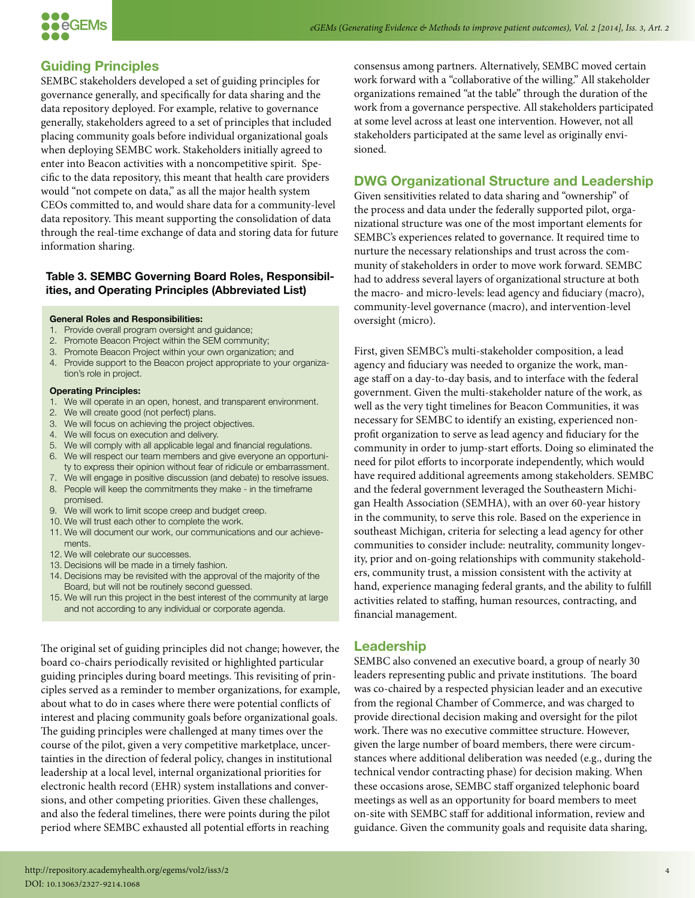

# **Guiding Principles**

SEMBC stakeholders developed a set of guiding principles for governance generally, and specifically for data sharing and the data repository deployed. For example, relative to governance generally, stakeholders agreed to a set of principles that included placing community goals before individual organizational goals when deploying SEMBC work. Stakeholders initially agreed to enter into Beacon activities with a noncompetitive spirit. Specific to the data repository, this meant that health care providers would "not compete on data," as all the major health system CEOs committed to, and would share data for a community-level data repository. This meant supporting the consolidation of data through the real-time exchange of data and storing data for future information sharing.

#### **Table 3. SEMBC Governing Board Roles, Responsibilities, and Operating Principles (Abbreviated List)**

#### **General Roles and Responsibilities:**

- 1. Provide overall program oversight and guidance;
- 2. Promote Beacon Project within the SEM community;
- 3. Promote Beacon Project within your own organization; and
- 4. Provide support to the Beacon project appropriate to your organization's role in project.

#### **Operating Principles:**

- 1. We will operate in an open, honest, and transparent environment.
- 2. We will create good (not perfect) plans.
- 3. We will focus on achieving the project objectives.
- 4. We will focus on execution and delivery.
- 5. We will comply with all applicable legal and financial regulations. 6. We will respect our team members and give everyone an opportuni-
- ty to express their opinion without fear of ridicule or embarrassment.
- 7. We will engage in positive discussion (and debate) to resolve issues. 8. People will keep the commitments they make - in the timeframe promised.
- 9. We will work to limit scope creep and budget creep.
- 10. We will trust each other to complete the work.
- 11. We will document our work, our communications and our achievements.
- 12. We will celebrate our successes.
- 13. Decisions will be made in a timely fashion.
- 14. Decisions may be revisited with the approval of the majority of the Board, but will not be routinely second guessed.
- 15. We will run this project in the best interest of the community at large and not according to any individual or corporate agenda.

The original set of guiding principles did not change; however, the board co-chairs periodically revisited or highlighted particular guiding principles during board meetings. This revisiting of principles served as a reminder to member organizations, for example, about what to do in cases where there were potential conflicts of interest and placing community goals before organizational goals. The guiding principles were challenged at many times over the course of the pilot, given a very competitive marketplace, uncertainties in the direction of federal policy, changes in institutional leadership at a local level, internal organizational priorities for electronic health record (EHR) system installations and conversions, and other competing priorities. Given these challenges, and also the federal timelines, there were points during the pilot period where SEMBC exhausted all potential efforts in reaching

consensus among partners. Alternatively, SEMBC moved certain work forward with a "collaborative of the willing." All stakeholder organizations remained "at the table" through the duration of the work from a governance perspective. All stakeholders participated at some level across at least one intervention. However, not all stakeholders participated at the same level as originally envisioned.

## **DWG Organizational Structure and Leadership**

Given sensitivities related to data sharing and "ownership" of the process and data under the federally supported pilot, organizational structure was one of the most important elements for SEMBC's experiences related to governance. It required time to nurture the necessary relationships and trust across the community of stakeholders in order to move work forward. SEMBC had to address several layers of organizational structure at both the macro- and micro-levels: lead agency and fiduciary (macro), community-level governance (macro), and intervention-level oversight (micro).

First, given SEMBC's multi-stakeholder composition, a lead agency and fiduciary was needed to organize the work, manage staff on a day-to-day basis, and to interface with the federal government. Given the multi-stakeholder nature of the work, as well as the very tight timelines for Beacon Communities, it was necessary for SEMBC to identify an existing, experienced nonprofit organization to serve as lead agency and fiduciary for the community in order to jump-start efforts. Doing so eliminated the need for pilot efforts to incorporate independently, which would have required additional agreements among stakeholders. SEMBC and the federal government leveraged the Southeastern Michigan Health Association (SEMHA), with an over 60-year history in the community, to serve this role. Based on the experience in southeast Michigan, criteria for selecting a lead agency for other communities to consider include: neutrality, community longevity, prior and on-going relationships with community stakeholders, community trust, a mission consistent with the activity at hand, experience managing federal grants, and the ability to fulfill activities related to staffing, human resources, contracting, and financial management.

#### **Leadership**

SEMBC also convened an executive board, a group of nearly 30 leaders representing public and private institutions. The board was co-chaired by a respected physician leader and an executive from the regional Chamber of Commerce, and was charged to provide directional decision making and oversight for the pilot work. There was no executive committee structure. However, given the large number of board members, there were circumstances where additional deliberation was needed (e.g., during the technical vendor contracting phase) for decision making. When these occasions arose, SEMBC staff organized telephonic board meetings as well as an opportunity for board members to meet on-site with SEMBC staff for additional information, review and guidance. Given the community goals and requisite data sharing,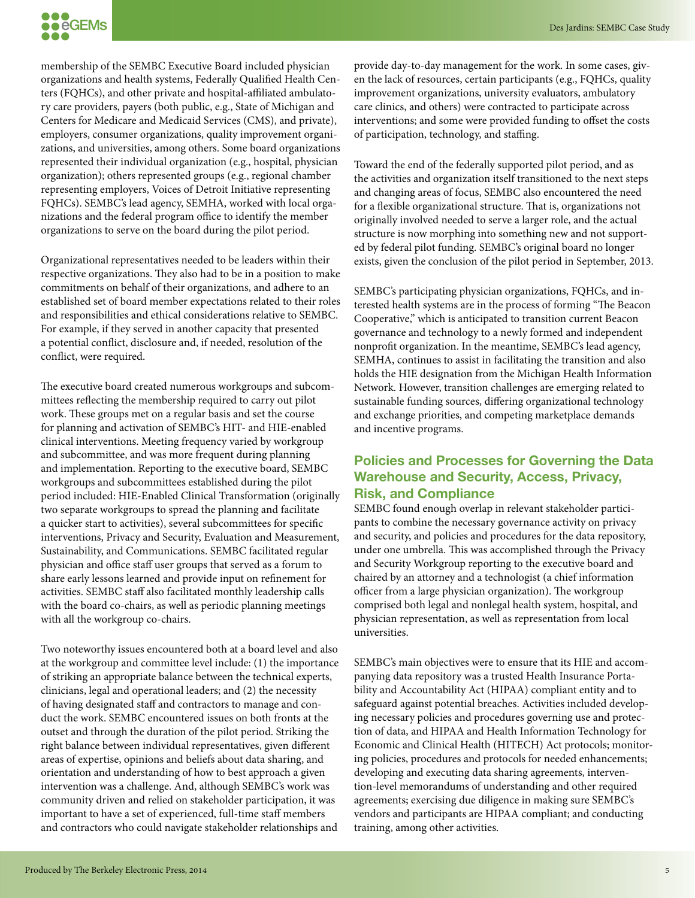

membership of the SEMBC Executive Board included physician organizations and health systems, Federally Qualified Health Centers (FQHCs), and other private and hospital-affiliated ambulatory care providers, payers (both public, e.g., State of Michigan and Centers for Medicare and Medicaid Services (CMS), and private), employers, consumer organizations, quality improvement organizations, and universities, among others. Some board organizations represented their individual organization (e.g., hospital, physician organization); others represented groups (e.g., regional chamber representing employers, Voices of Detroit Initiative representing FQHCs). SEMBC's lead agency, SEMHA, worked with local organizations and the federal program office to identify the member organizations to serve on the board during the pilot period.

Organizational representatives needed to be leaders within their respective organizations. They also had to be in a position to make commitments on behalf of their organizations, and adhere to an established set of board member expectations related to their roles and responsibilities and ethical considerations relative to SEMBC. For example, if they served in another capacity that presented a potential conflict, disclosure and, if needed, resolution of the conflict, were required.

The executive board created numerous workgroups and subcommittees reflecting the membership required to carry out pilot work. These groups met on a regular basis and set the course for planning and activation of SEMBC's HIT- and HIE-enabled clinical interventions. Meeting frequency varied by workgroup and subcommittee, and was more frequent during planning and implementation. Reporting to the executive board, SEMBC workgroups and subcommittees established during the pilot period included: HIE-Enabled Clinical Transformation (originally two separate workgroups to spread the planning and facilitate a quicker start to activities), several subcommittees for specific interventions, Privacy and Security, Evaluation and Measurement, Sustainability, and Communications. SEMBC facilitated regular physician and office staff user groups that served as a forum to share early lessons learned and provide input on refinement for activities. SEMBC staff also facilitated monthly leadership calls with the board co-chairs, as well as periodic planning meetings with all the workgroup co-chairs.

Two noteworthy issues encountered both at a board level and also at the workgroup and committee level include: (1) the importance of striking an appropriate balance between the technical experts, clinicians, legal and operational leaders; and (2) the necessity of having designated staff and contractors to manage and conduct the work. SEMBC encountered issues on both fronts at the outset and through the duration of the pilot period. Striking the right balance between individual representatives, given different areas of expertise, opinions and beliefs about data sharing, and orientation and understanding of how to best approach a given intervention was a challenge. And, although SEMBC's work was community driven and relied on stakeholder participation, it was important to have a set of experienced, full-time staff members and contractors who could navigate stakeholder relationships and

provide day-to-day management for the work. In some cases, given the lack of resources, certain participants (e.g., FQHCs, quality improvement organizations, university evaluators, ambulatory care clinics, and others) were contracted to participate across interventions; and some were provided funding to offset the costs of participation, technology, and staffing.

Toward the end of the federally supported pilot period, and as the activities and organization itself transitioned to the next steps and changing areas of focus, SEMBC also encountered the need for a flexible organizational structure. That is, organizations not originally involved needed to serve a larger role, and the actual structure is now morphing into something new and not supported by federal pilot funding. SEMBC's original board no longer exists, given the conclusion of the pilot period in September, 2013.

SEMBC's participating physician organizations, FQHCs, and interested health systems are in the process of forming "The Beacon Cooperative," which is anticipated to transition current Beacon governance and technology to a newly formed and independent nonprofit organization. In the meantime, SEMBC's lead agency, SEMHA, continues to assist in facilitating the transition and also holds the HIE designation from the Michigan Health Information Network. However, transition challenges are emerging related to sustainable funding sources, differing organizational technology and exchange priorities, and competing marketplace demands and incentive programs.

# **Policies and Processes for Governing the Data Warehouse and Security, Access, Privacy, Risk, and Compliance**

SEMBC found enough overlap in relevant stakeholder participants to combine the necessary governance activity on privacy and security, and policies and procedures for the data repository, under one umbrella. This was accomplished through the Privacy and Security Workgroup reporting to the executive board and chaired by an attorney and a technologist (a chief information officer from a large physician organization). The workgroup comprised both legal and nonlegal health system, hospital, and physician representation, as well as representation from local universities.

SEMBC's main objectives were to ensure that its HIE and accompanying data repository was a trusted Health Insurance Portability and Accountability Act (HIPAA) compliant entity and to safeguard against potential breaches. Activities included developing necessary policies and procedures governing use and protection of data, and HIPAA and Health Information Technology for Economic and Clinical Health (HITECH) Act protocols; monitoring policies, procedures and protocols for needed enhancements; developing and executing data sharing agreements, intervention-level memorandums of understanding and other required agreements; exercising due diligence in making sure SEMBC's vendors and participants are HIPAA compliant; and conducting training, among other activities.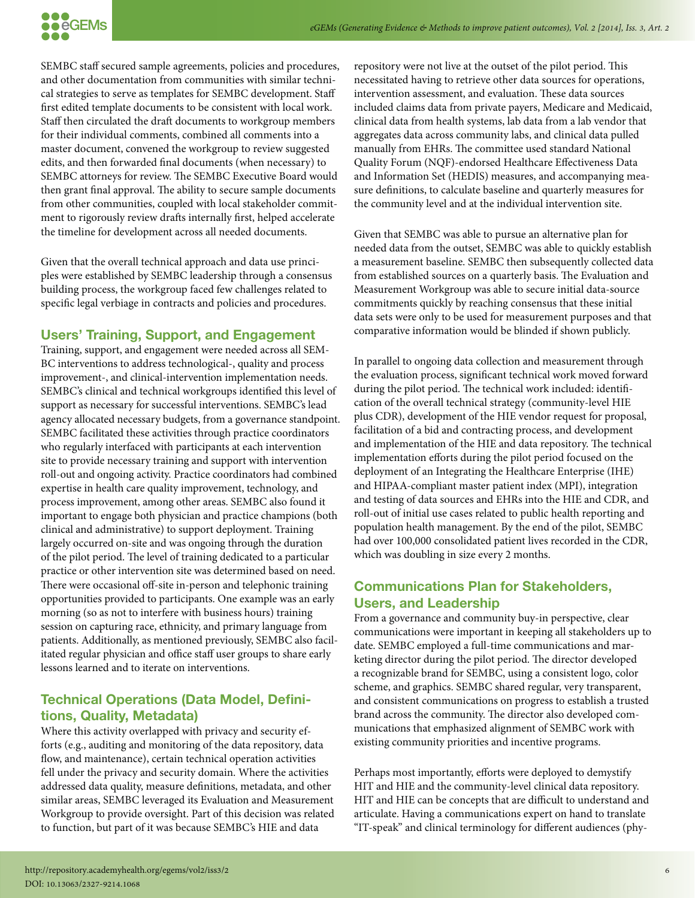

SEMBC staff secured sample agreements, policies and procedures, and other documentation from communities with similar technical strategies to serve as templates for SEMBC development. Staff first edited template documents to be consistent with local work. Staff then circulated the draft documents to workgroup members for their individual comments, combined all comments into a master document, convened the workgroup to review suggested edits, and then forwarded final documents (when necessary) to SEMBC attorneys for review. The SEMBC Executive Board would then grant final approval. The ability to secure sample documents from other communities, coupled with local stakeholder commitment to rigorously review drafts internally first, helped accelerate the timeline for development across all needed documents.

Given that the overall technical approach and data use principles were established by SEMBC leadership through a consensus building process, the workgroup faced few challenges related to specific legal verbiage in contracts and policies and procedures.

# **Users' Training, Support, and Engagement**

Training, support, and engagement were needed across all SEM-BC interventions to address technological-, quality and process improvement-, and clinical-intervention implementation needs. SEMBC's clinical and technical workgroups identified this level of support as necessary for successful interventions. SEMBC's lead agency allocated necessary budgets, from a governance standpoint. SEMBC facilitated these activities through practice coordinators who regularly interfaced with participants at each intervention site to provide necessary training and support with intervention roll-out and ongoing activity. Practice coordinators had combined expertise in health care quality improvement, technology, and process improvement, among other areas. SEMBC also found it important to engage both physician and practice champions (both clinical and administrative) to support deployment. Training largely occurred on-site and was ongoing through the duration of the pilot period. The level of training dedicated to a particular practice or other intervention site was determined based on need. There were occasional off-site in-person and telephonic training opportunities provided to participants. One example was an early morning (so as not to interfere with business hours) training session on capturing race, ethnicity, and primary language from patients. Additionally, as mentioned previously, SEMBC also facilitated regular physician and office staff user groups to share early lessons learned and to iterate on interventions.

# **Technical Operations (Data Model, Definitions, Quality, Metadata)**

Where this activity overlapped with privacy and security efforts (e.g., auditing and monitoring of the data repository, data flow, and maintenance), certain technical operation activities fell under the privacy and security domain. Where the activities addressed data quality, measure definitions, metadata, and other similar areas, SEMBC leveraged its Evaluation and Measurement Workgroup to provide oversight. Part of this decision was related to function, but part of it was because SEMBC's HIE and data

repository were not live at the outset of the pilot period. This necessitated having to retrieve other data sources for operations, intervention assessment, and evaluation. These data sources included claims data from private payers, Medicare and Medicaid, clinical data from health systems, lab data from a lab vendor that aggregates data across community labs, and clinical data pulled manually from EHRs. The committee used standard National Quality Forum (NQF)-endorsed Healthcare Effectiveness Data and Information Set (HEDIS) measures, and accompanying measure definitions, to calculate baseline and quarterly measures for the community level and at the individual intervention site.

Given that SEMBC was able to pursue an alternative plan for needed data from the outset, SEMBC was able to quickly establish a measurement baseline. SEMBC then subsequently collected data from established sources on a quarterly basis. The Evaluation and Measurement Workgroup was able to secure initial data-source commitments quickly by reaching consensus that these initial data sets were only to be used for measurement purposes and that comparative information would be blinded if shown publicly.

In parallel to ongoing data collection and measurement through the evaluation process, significant technical work moved forward during the pilot period. The technical work included: identification of the overall technical strategy (community-level HIE plus CDR), development of the HIE vendor request for proposal, facilitation of a bid and contracting process, and development and implementation of the HIE and data repository. The technical implementation efforts during the pilot period focused on the deployment of an Integrating the Healthcare Enterprise (IHE) and HIPAA-compliant master patient index (MPI), integration and testing of data sources and EHRs into the HIE and CDR, and roll-out of initial use cases related to public health reporting and population health management. By the end of the pilot, SEMBC had over 100,000 consolidated patient lives recorded in the CDR, which was doubling in size every 2 months.

# **Communications Plan for Stakeholders, Users, and Leadership**

From a governance and community buy-in perspective, clear communications were important in keeping all stakeholders up to date. SEMBC employed a full-time communications and marketing director during the pilot period. The director developed a recognizable brand for SEMBC, using a consistent logo, color scheme, and graphics. SEMBC shared regular, very transparent, and consistent communications on progress to establish a trusted brand across the community. The director also developed communications that emphasized alignment of SEMBC work with existing community priorities and incentive programs.

Perhaps most importantly, efforts were deployed to demystify HIT and HIE and the community-level clinical data repository. HIT and HIE can be concepts that are difficult to understand and articulate. Having a communications expert on hand to translate "IT-speak" and clinical terminology for different audiences (phy-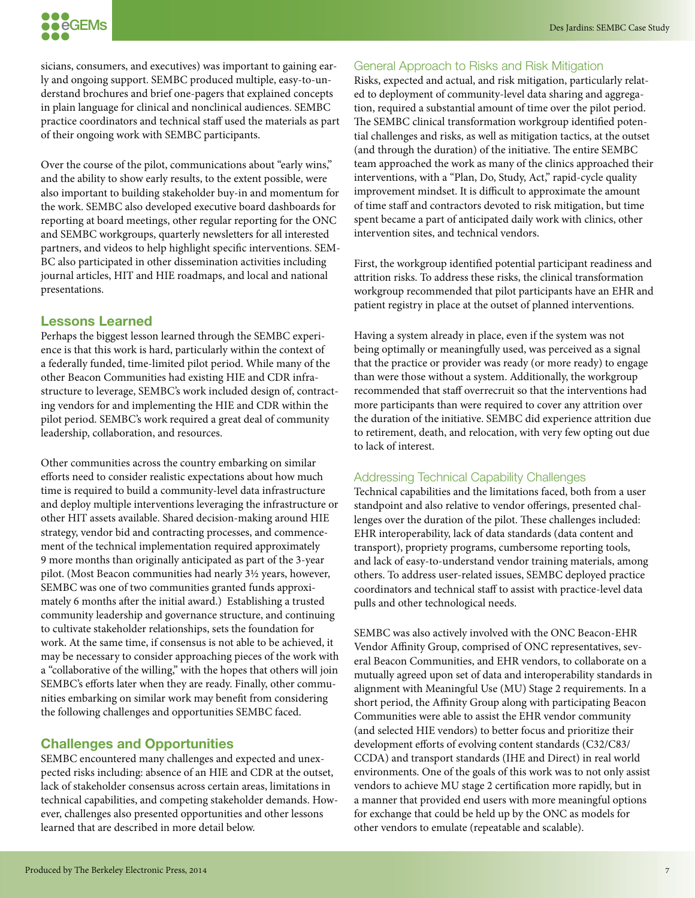

sicians, consumers, and executives) was important to gaining early and ongoing support. SEMBC produced multiple, easy-to-understand brochures and brief one-pagers that explained concepts in plain language for clinical and nonclinical audiences. SEMBC practice coordinators and technical staff used the materials as part of their ongoing work with SEMBC participants.

Over the course of the pilot, communications about "early wins," and the ability to show early results, to the extent possible, were also important to building stakeholder buy-in and momentum for the work. SEMBC also developed executive board dashboards for reporting at board meetings, other regular reporting for the ONC and SEMBC workgroups, quarterly newsletters for all interested partners, and videos to help highlight specific interventions. SEM-BC also participated in other dissemination activities including journal articles, HIT and HIE roadmaps, and local and national presentations.

### **Lessons Learned**

Perhaps the biggest lesson learned through the SEMBC experience is that this work is hard, particularly within the context of a federally funded, time-limited pilot period. While many of the other Beacon Communities had existing HIE and CDR infrastructure to leverage, SEMBC's work included design of, contracting vendors for and implementing the HIE and CDR within the pilot period. SEMBC's work required a great deal of community leadership, collaboration, and resources.

Other communities across the country embarking on similar efforts need to consider realistic expectations about how much time is required to build a community-level data infrastructure and deploy multiple interventions leveraging the infrastructure or other HIT assets available. Shared decision-making around HIE strategy, vendor bid and contracting processes, and commencement of the technical implementation required approximately 9 more months than originally anticipated as part of the 3-year pilot. (Most Beacon communities had nearly 3½ years, however, SEMBC was one of two communities granted funds approximately 6 months after the initial award.) Establishing a trusted community leadership and governance structure, and continuing to cultivate stakeholder relationships, sets the foundation for work. At the same time, if consensus is not able to be achieved, it may be necessary to consider approaching pieces of the work with a "collaborative of the willing," with the hopes that others will join SEMBC's efforts later when they are ready. Finally, other communities embarking on similar work may benefit from considering the following challenges and opportunities SEMBC faced.

# **Challenges and Opportunities**

SEMBC encountered many challenges and expected and unexpected risks including: absence of an HIE and CDR at the outset, lack of stakeholder consensus across certain areas, limitations in technical capabilities, and competing stakeholder demands. However, challenges also presented opportunities and other lessons learned that are described in more detail below.

#### General Approach to Risks and Risk Mitigation

Risks, expected and actual, and risk mitigation, particularly related to deployment of community-level data sharing and aggregation, required a substantial amount of time over the pilot period. The SEMBC clinical transformation workgroup identified potential challenges and risks, as well as mitigation tactics, at the outset (and through the duration) of the initiative. The entire SEMBC team approached the work as many of the clinics approached their interventions, with a "Plan, Do, Study, Act," rapid-cycle quality improvement mindset. It is difficult to approximate the amount of time staff and contractors devoted to risk mitigation, but time spent became a part of anticipated daily work with clinics, other intervention sites, and technical vendors.

First, the workgroup identified potential participant readiness and attrition risks. To address these risks, the clinical transformation workgroup recommended that pilot participants have an EHR and patient registry in place at the outset of planned interventions.

Having a system already in place, even if the system was not being optimally or meaningfully used, was perceived as a signal that the practice or provider was ready (or more ready) to engage than were those without a system. Additionally, the workgroup recommended that staff overrecruit so that the interventions had more participants than were required to cover any attrition over the duration of the initiative. SEMBC did experience attrition due to retirement, death, and relocation, with very few opting out due to lack of interest.

#### Addressing Technical Capability Challenges

Technical capabilities and the limitations faced, both from a user standpoint and also relative to vendor offerings, presented challenges over the duration of the pilot. These challenges included: EHR interoperability, lack of data standards (data content and transport), propriety programs, cumbersome reporting tools, and lack of easy-to-understand vendor training materials, among others. To address user-related issues, SEMBC deployed practice coordinators and technical staff to assist with practice-level data pulls and other technological needs.

SEMBC was also actively involved with the ONC Beacon-EHR Vendor Affinity Group, comprised of ONC representatives, several Beacon Communities, and EHR vendors, to collaborate on a mutually agreed upon set of data and interoperability standards in alignment with Meaningful Use (MU) Stage 2 requirements. In a short period, the Affinity Group along with participating Beacon Communities were able to assist the EHR vendor community (and selected HIE vendors) to better focus and prioritize their development efforts of evolving content standards (C32/C83/ CCDA) and transport standards (IHE and Direct) in real world environments. One of the goals of this work was to not only assist vendors to achieve MU stage 2 certification more rapidly, but in a manner that provided end users with more meaningful options for exchange that could be held up by the ONC as models for other vendors to emulate (repeatable and scalable).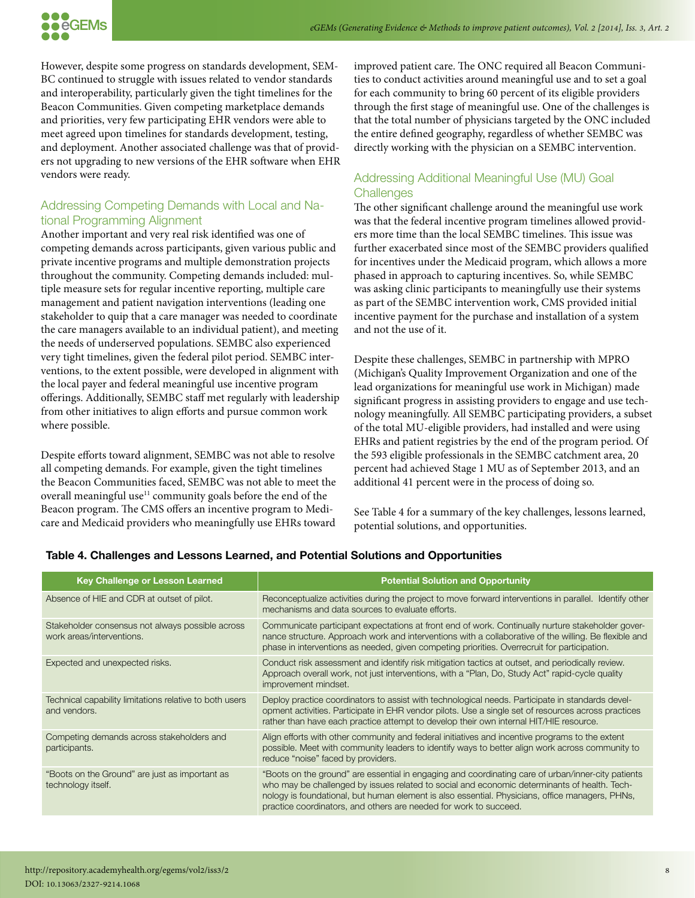However, despite some progress on standards development, SEM-BC continued to struggle with issues related to vendor standards and interoperability, particularly given the tight timelines for the Beacon Communities. Given competing marketplace demands and priorities, very few participating EHR vendors were able to meet agreed upon timelines for standards development, testing, and deployment. Another associated challenge was that of providers not upgrading to new versions of the EHR software when EHR vendors were ready.

# Addressing Competing Demands with Local and National Programming Alignment

Another important and very real risk identified was one of competing demands across participants, given various public and private incentive programs and multiple demonstration projects throughout the community. Competing demands included: multiple measure sets for regular incentive reporting, multiple care management and patient navigation interventions (leading one stakeholder to quip that a care manager was needed to coordinate the care managers available to an individual patient), and meeting the needs of underserved populations. SEMBC also experienced very tight timelines, given the federal pilot period. SEMBC interventions, to the extent possible, were developed in alignment with the local payer and federal meaningful use incentive program offerings. Additionally, SEMBC staff met regularly with leadership from other initiatives to align efforts and pursue common work where possible.

Despite efforts toward alignment, SEMBC was not able to resolve all competing demands. For example, given the tight timelines the Beacon Communities faced, SEMBC was not able to meet the overall meaningful use<sup>11</sup> community goals before the end of the Beacon program. The CMS offers an incentive program to Medicare and Medicaid providers who meaningfully use EHRs toward

improved patient care. The ONC required all Beacon Communities to conduct activities around meaningful use and to set a goal for each community to bring 60 percent of its eligible providers through the first stage of meaningful use. One of the challenges is that the total number of physicians targeted by the ONC included the entire defined geography, regardless of whether SEMBC was directly working with the physician on a SEMBC intervention.

# Addressing Additional Meaningful Use (MU) Goal **Challenges**

The other significant challenge around the meaningful use work was that the federal incentive program timelines allowed providers more time than the local SEMBC timelines. This issue was further exacerbated since most of the SEMBC providers qualified for incentives under the Medicaid program, which allows a more phased in approach to capturing incentives. So, while SEMBC was asking clinic participants to meaningfully use their systems as part of the SEMBC intervention work, CMS provided initial incentive payment for the purchase and installation of a system and not the use of it.

Despite these challenges, SEMBC in partnership with MPRO (Michigan's Quality Improvement Organization and one of the lead organizations for meaningful use work in Michigan) made significant progress in assisting providers to engage and use technology meaningfully. All SEMBC participating providers, a subset of the total MU-eligible providers, had installed and were using EHRs and patient registries by the end of the program period. Of the 593 eligible professionals in the SEMBC catchment area, 20 percent had achieved Stage 1 MU as of September 2013, and an additional 41 percent were in the process of doing so.

See Table 4 for a summary of the key challenges, lessons learned, potential solutions, and opportunities.

| <b>Key Challenge or Lesson Learned</b>                                        | <b>Potential Solution and Opportunity</b>                                                                                                                                                                                                                                                                                                                                  |
|-------------------------------------------------------------------------------|----------------------------------------------------------------------------------------------------------------------------------------------------------------------------------------------------------------------------------------------------------------------------------------------------------------------------------------------------------------------------|
| Absence of HIE and CDR at outset of pilot.                                    | Reconceptualize activities during the project to move forward interventions in parallel. Identify other<br>mechanisms and data sources to evaluate efforts.                                                                                                                                                                                                                |
| Stakeholder consensus not always possible across<br>work areas/interventions. | Communicate participant expectations at front end of work. Continually nurture stakeholder gover-<br>nance structure. Approach work and interventions with a collaborative of the willing. Be flexible and<br>phase in interventions as needed, given competing priorities. Overrecruit for participation.                                                                 |
| Expected and unexpected risks.                                                | Conduct risk assessment and identify risk mitigation tactics at outset, and periodically review.<br>Approach overall work, not just interventions, with a "Plan, Do, Study Act" rapid-cycle quality<br>improvement mindset.                                                                                                                                                |
| Technical capability limitations relative to both users<br>and vendors.       | Deploy practice coordinators to assist with technological needs. Participate in standards devel-<br>opment activities. Participate in EHR vendor pilots. Use a single set of resources across practices<br>rather than have each practice attempt to develop their own internal HIT/HIE resource.                                                                          |
| Competing demands across stakeholders and<br>participants.                    | Align efforts with other community and federal initiatives and incentive programs to the extent<br>possible. Meet with community leaders to identify ways to better align work across community to<br>reduce "noise" faced by providers.                                                                                                                                   |
| "Boots on the Ground" are just as important as<br>technology itself.          | "Boots on the ground" are essential in engaging and coordinating care of urban/inner-city patients<br>who may be challenged by issues related to social and economic determinants of health. Tech-<br>nology is foundational, but human element is also essential. Physicians, office managers, PHNs,<br>practice coordinators, and others are needed for work to succeed. |

#### **Table 4. Challenges and Lessons Learned, and Potential Solutions and Opportunities**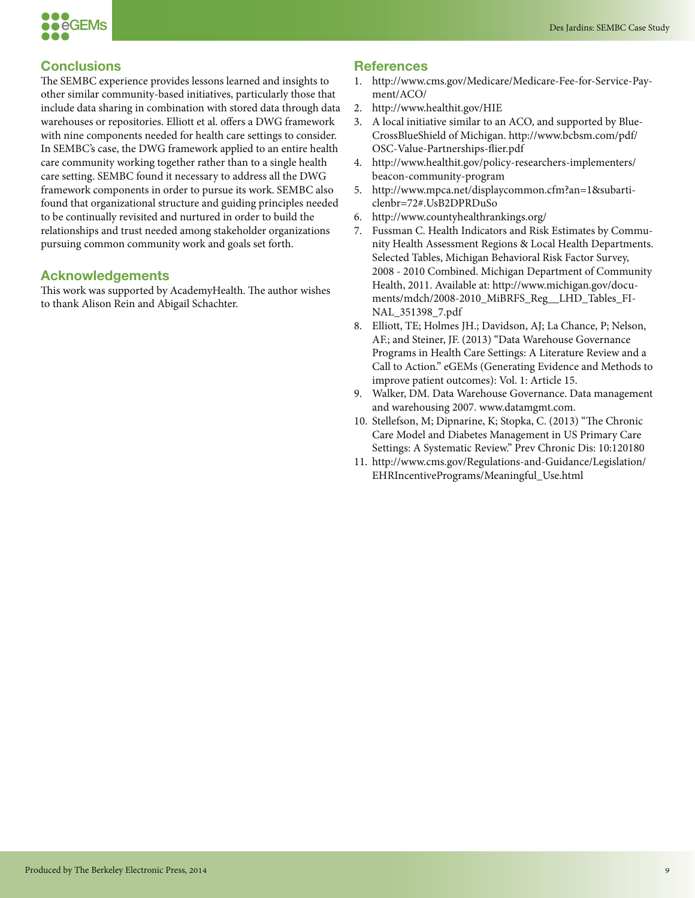



# **Conclusions**

The SEMBC experience provides lessons learned and insights to other similar community-based initiatives, particularly those that include data sharing in combination with stored data through data warehouses or repositories. Elliott et al. offers a DWG framework with nine components needed for health care settings to consider. In SEMBC's case, the DWG framework applied to an entire health care community working together rather than to a single health care setting. SEMBC found it necessary to address all the DWG framework components in order to pursue its work. SEMBC also found that organizational structure and guiding principles needed to be continually revisited and nurtured in order to build the relationships and trust needed among stakeholder organizations pursuing common community work and goals set forth.

#### **Acknowledgements**

This work was supported by AcademyHealth. The author wishes to thank Alison Rein and Abigail Schachter.

#### **References**

- 1. http://www.cms.gov/Medicare/Medicare-Fee-for-Service-Payment/ACO/
- 2. http://www.healthit.gov/HIE
- 3. A local initiative similar to an ACO, and supported by Blue-CrossBlueShield of Michigan. http://www.bcbsm.com/pdf/ OSC-Value-Partnerships-flier.pdf
- 4. http://www.healthit.gov/policy-researchers-implementers/ beacon-community-program
- 5. http://www.mpca.net/displaycommon.cfm?an=1&subarticlenbr=72#.UsB2DPRDuSo
- 6. http://www.countyhealthrankings.org/
- 7. Fussman C. Health Indicators and Risk Estimates by Community Health Assessment Regions & Local Health Departments. Selected Tables, Michigan Behavioral Risk Factor Survey, 2008 - 2010 Combined. Michigan Department of Community Health, 2011. Available at: http://www.michigan.gov/documents/mdch/2008-2010\_MiBRFS\_Reg\_\_LHD\_Tables\_FI-NAL\_351398\_7.pdf
- 8. Elliott, TE; Holmes JH.; Davidson, AJ; La Chance, P; Nelson, AF.; and Steiner, JF. (2013) "Data Warehouse Governance Programs in Health Care Settings: A Literature Review and a Call to Action." eGEMs (Generating Evidence and Methods to improve patient outcomes): Vol. 1: Article 15.
- 9. Walker, DM. Data Warehouse Governance. Data management and warehousing 2007. www.datamgmt.com.
- 10. Stellefson, M; Dipnarine, K; Stopka, C. (2013) "The Chronic Care Model and Diabetes Management in US Primary Care Settings: A Systematic Review." Prev Chronic Dis: 10:120180
- 11. http://www.cms.gov/Regulations-and-Guidance/Legislation/ EHRIncentivePrograms/Meaningful\_Use.html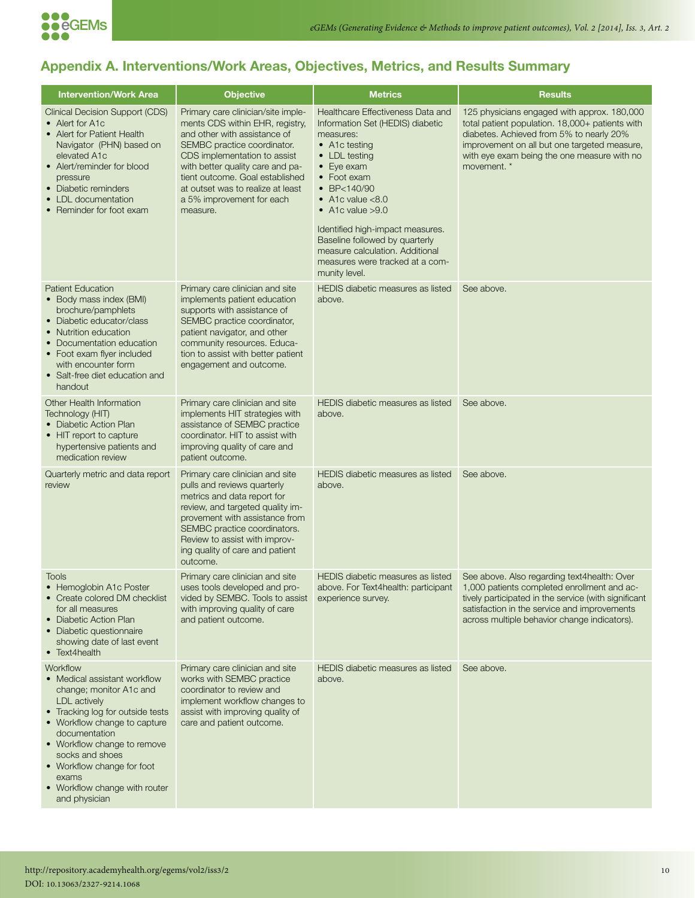

# **Appendix A. Interventions/Work Areas, Objectives, Metrics, and Results Summary**

| <b>Intervention/Work Area</b>                                                                                                                                                                                                                                                                                              | <b>Objective</b>                                                                                                                                                                                                                                                                                                          | <b>Metrics</b>                                                                                                                                                                                                                                                                                                                                                                                          | <b>Results</b>                                                                                                                                                                                                                                           |
|----------------------------------------------------------------------------------------------------------------------------------------------------------------------------------------------------------------------------------------------------------------------------------------------------------------------------|---------------------------------------------------------------------------------------------------------------------------------------------------------------------------------------------------------------------------------------------------------------------------------------------------------------------------|---------------------------------------------------------------------------------------------------------------------------------------------------------------------------------------------------------------------------------------------------------------------------------------------------------------------------------------------------------------------------------------------------------|----------------------------------------------------------------------------------------------------------------------------------------------------------------------------------------------------------------------------------------------------------|
| <b>Clinical Decision Support (CDS)</b><br>• Alert for A1c<br>• Alert for Patient Health<br>Navigator (PHN) based on<br>elevated A1c<br>• Alert/reminder for blood<br>pressure<br>• Diabetic reminders<br>• LDL documentation<br>• Reminder for foot exam                                                                   | Primary care clinician/site imple-<br>ments CDS within EHR, registry,<br>and other with assistance of<br>SEMBC practice coordinator.<br>CDS implementation to assist<br>with better quality care and pa-<br>tient outcome. Goal established<br>at outset was to realize at least<br>a 5% improvement for each<br>measure. | Healthcare Effectiveness Data and<br>Information Set (HEDIS) diabetic<br>measures:<br>• A1c testing<br>• LDL testing<br>$\bullet$ Eye exam<br>• Foot exam<br>$\bullet$ BP<140/90<br>$\bullet$ A1c value <8.0<br>$\bullet$ A1c value $>9.0$<br>Identified high-impact measures.<br>Baseline followed by quarterly<br>measure calculation. Additional<br>measures were tracked at a com-<br>munity level. | 125 physicians engaged with approx. 180,000<br>total patient population. 18,000+ patients with<br>diabetes. Achieved from 5% to nearly 20%<br>improvement on all but one targeted measure,<br>with eye exam being the one measure with no<br>movement. * |
| <b>Patient Education</b><br>• Body mass index (BMI)<br>brochure/pamphlets<br>• Diabetic educator/class<br>• Nutrition education<br>• Documentation education<br>• Foot exam flyer included<br>with encounter form<br>• Salt-free diet education and<br>handout                                                             | Primary care clinician and site<br>implements patient education<br>supports with assistance of<br>SEMBC practice coordinator,<br>patient navigator, and other<br>community resources. Educa-<br>tion to assist with better patient<br>engagement and outcome.                                                             | <b>HEDIS</b> diabetic measures as listed<br>above.                                                                                                                                                                                                                                                                                                                                                      | See above.                                                                                                                                                                                                                                               |
| Other Health Information<br>Technology (HIT)<br>• Diabetic Action Plan<br>• HIT report to capture<br>hypertensive patients and<br>medication review                                                                                                                                                                        | Primary care clinician and site<br>implements HIT strategies with<br>assistance of SEMBC practice<br>coordinator. HIT to assist with<br>improving quality of care and<br>patient outcome.                                                                                                                                 | HEDIS diabetic measures as listed<br>above.                                                                                                                                                                                                                                                                                                                                                             | See above.                                                                                                                                                                                                                                               |
| Quarterly metric and data report<br>review                                                                                                                                                                                                                                                                                 | Primary care clinician and site<br>pulls and reviews quarterly<br>metrics and data report for<br>review, and targeted quality im-<br>provement with assistance from<br>SEMBC practice coordinators.<br>Review to assist with improv-<br>ing quality of care and patient<br>outcome.                                       | HEDIS diabetic measures as listed<br>above.                                                                                                                                                                                                                                                                                                                                                             | See above.                                                                                                                                                                                                                                               |
| Tools<br>• Hemoglobin A1c Poster<br>• Create colored DM checklist<br>for all measures<br>• Diabetic Action Plan<br>• Diabetic questionnaire<br>showing date of last event<br>• Text4health                                                                                                                                 | Primary care clinician and site<br>uses tools developed and pro-<br>vided by SEMBC. Tools to assist<br>with improving quality of care<br>and patient outcome.                                                                                                                                                             | HEDIS diabetic measures as listed<br>above. For Text4health: participant<br>experience survey.                                                                                                                                                                                                                                                                                                          | See above. Also regarding text4health: Over<br>1,000 patients completed enrollment and ac-<br>tively participated in the service (with significant<br>satisfaction in the service and improvements<br>across multiple behavior change indicators).       |
| Workflow<br>• Medical assistant workflow<br>change; monitor A1c and<br><b>LDL</b> actively<br>• Tracking log for outside tests<br>• Workflow change to capture<br>documentation<br>• Workflow change to remove<br>socks and shoes<br>• Workflow change for foot<br>exams<br>• Workflow change with router<br>and physician | Primary care clinician and site<br>works with SEMBC practice<br>coordinator to review and<br>implement workflow changes to<br>assist with improving quality of<br>care and patient outcome.                                                                                                                               | HEDIS diabetic measures as listed<br>above.                                                                                                                                                                                                                                                                                                                                                             | See above.                                                                                                                                                                                                                                               |